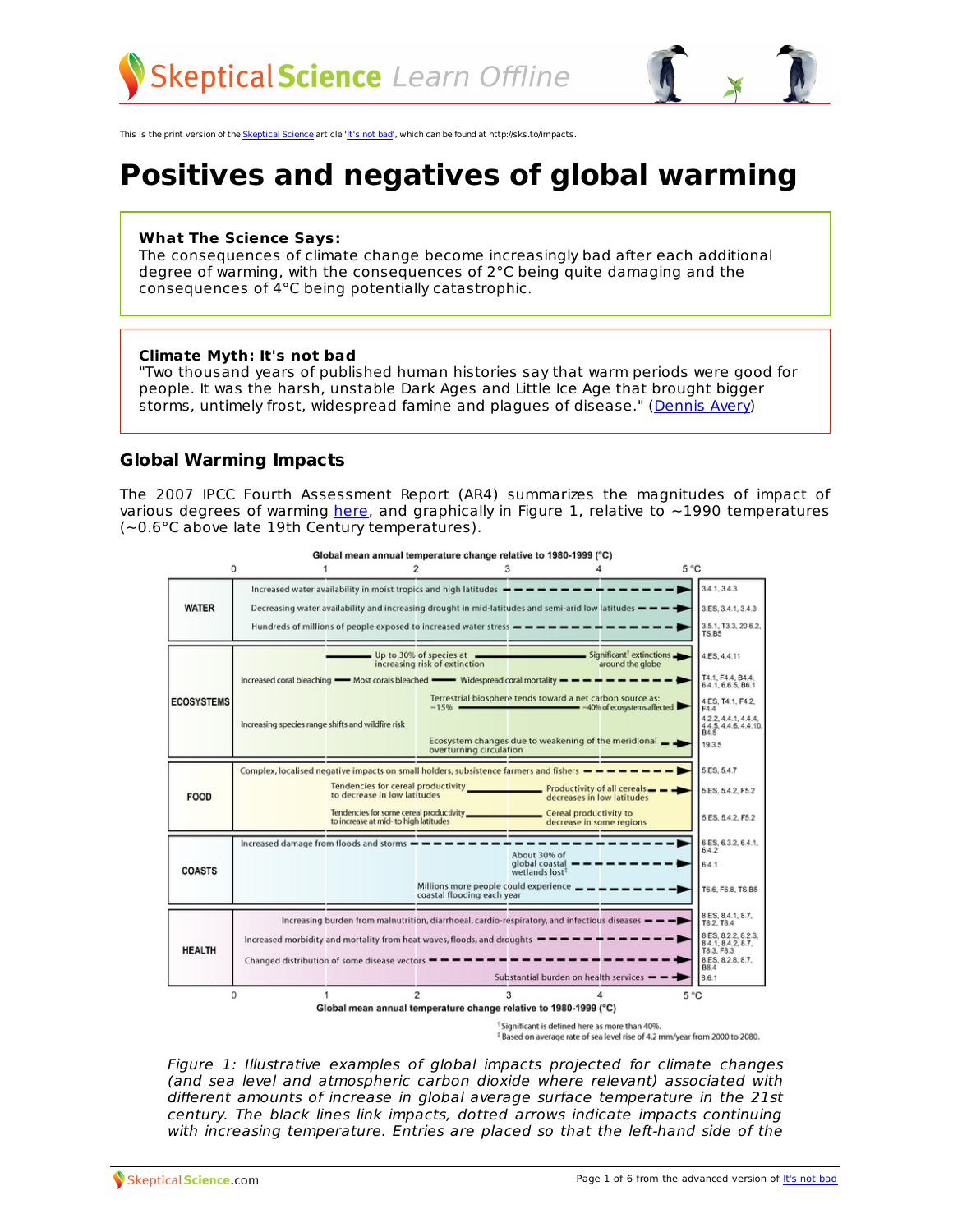

This is the print version of the [Skeptical](http://skepticalscience.com) Science article 'It's [not](http://skepticalscience.com/global-warming-positives-negatives.htm) bad', which can be found at http://sks.to/impacts.

# **Positives and negatives of global warming**

#### **What The Science Says:**

The consequences of climate change become increasingly bad after each additional degree of warming, with the consequences of 2°C being quite damaging and the consequences of 4°C being potentially catastrophic.

#### **Climate Myth: It's not bad**

"Two thousand years of published human histories say that warm periods were good for people. It was the harsh, unstable Dark Ages and Little Ice Age that brought bigger storms, untimely frost, widespread famine and plagues of disease." [\(Dennis](http://www.wnd.com/?pageId=43489) Avery)

## **Global Warming Impacts**

The 2007 IPCC Fourth Assessment Report (AR4) summarizes the magnitudes of impact of various degrees of warming [here](http://www.ipcc.ch/publications_and_data/ar4/wg2/en/spmsspm-c-15-magnitudes-of.html), and graphically in Figure 1, relative to  $\sim$ 1990 temperatures (~0.6°C above late 19th Century temperatures).



Global mean annual temperature change relative to 1980-1999 (°C)

<sup>†</sup> Significant is defined here as more than 40%.

<sup>‡</sup> Based on average rate of sea level rise of 4.2 mm/year from 2000 to 2080.

Figure 1: Illustrative examples of global impacts projected for climate changes (and sea level and atmospheric carbon dioxide where relevant) associated with different amounts of increase in global average surface temperature in the 21st century. The black lines link impacts, dotted arrows indicate impacts continuing with [increas](http://skepticalscience.com)ing temperature. Entries are placed so that the left-hand side of the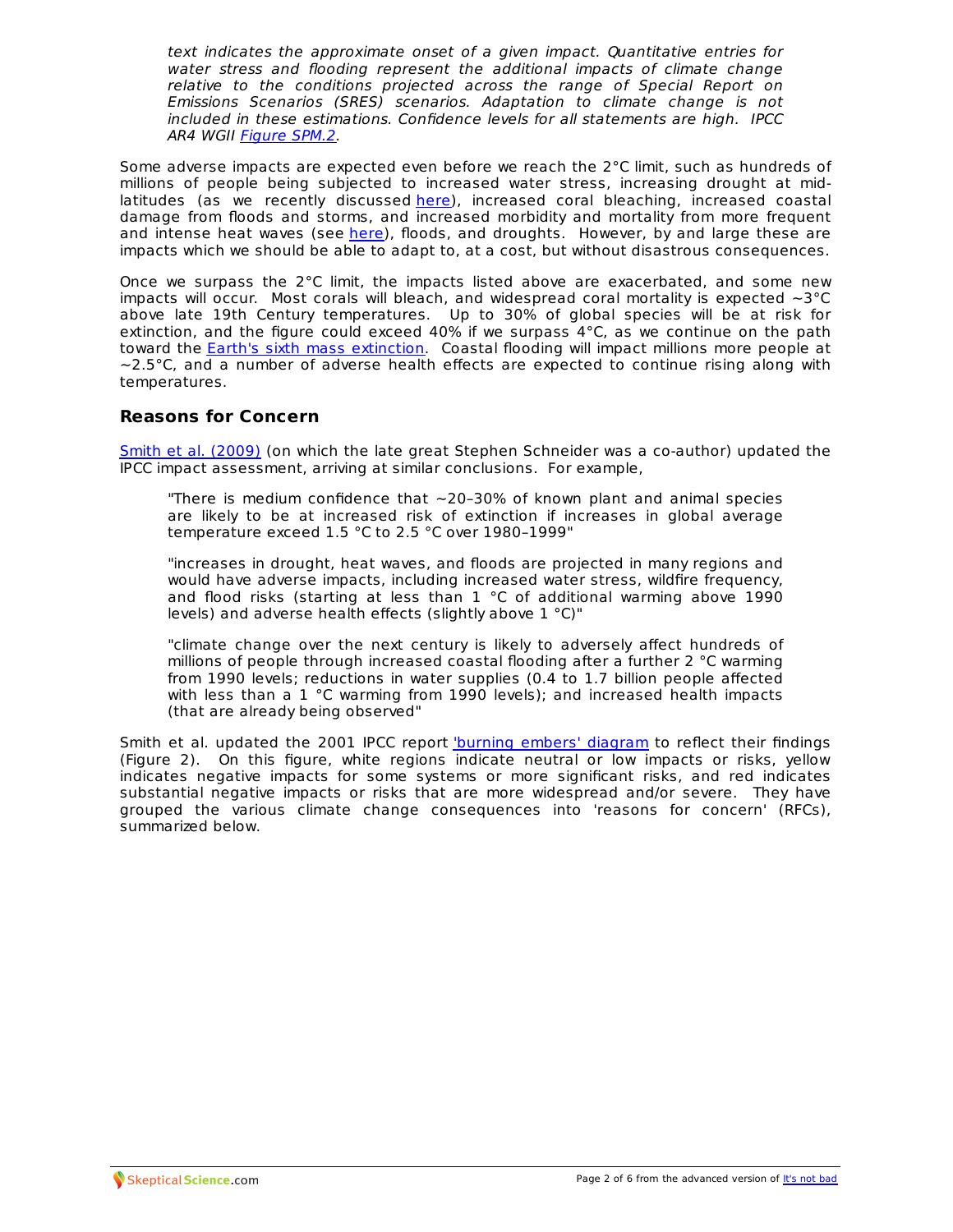text indicates the approximate onset of a given impact. Quantitative entries for water stress and flooding represent the additional impacts of climate change relative to the conditions projected across the range of Special Report on Emissions Scenarios (SRES) scenarios. Adaptation to climate change is not included in these estimations. Confidence levels for all statements are high. IPCC AR4 WGII [Figure](http://www.ipcc.ch/publications_and_data/ar4/wg2/en/figure-spm-2.html) SPM.2.

Some adverse impacts are expected even before we reach the  $2^{\circ}$ C limit, such as hundreds of millions of people being subjected to increased water stress, increasing drought at midlatitudes (as we recently discussed [here](http://www.skepticalscience.com/hansens-new-climate-dice-loaded-misunderstood.html)), increased coral bleaching, increased coastal damage from floods and storms, and increased morbidity and mortality from more frequent and intense heat waves (see [here\)](http://www.skepticalscience.com/hansens-new-climate-dice-loaded-misunderstood.html), floods, and droughts. However, by and large these are impacts which we should be able to adapt to, at a cost, but without disastrous consequences.

Once we surpass the 2°C limit, the impacts listed above are exacerbated, and some new impacts will occur. Most corals will bleach, and widespread coral mortality is expected  $\sim$ 3°C above late 19th Century temperatures. Up to 30% of global species will be at risk for extinction, and the figure could exceed 40% if we surpass 4°C, as we continue on the path toward the Earth's sixth mass [extinction](http://www.skepticalscience.com/sixth-mass-extinction.html). Coastal flooding will impact millions more people at  $\sim$ 2.5 $\degree$ C, and a number of adverse health effects are expected to continue rising along with temperatures.

## **Reasons for Concern**

Smith et al. [\(2009\)](http://www.pnas.org/content/106/11/4133.full.pdf+html) (on which the late great Stephen Schneider was a co-author) updated the IPCC impact assessment, arriving at similar conclusions. For example,

"There is medium confidence that  $\sim$  20-30% of known plant and animal species are likely to be at increased risk of extinction if increases in global average temperature exceed 1.5 °C to 2.5 °C over 1980–1999"

"increases in drought, heat waves, and floods are projected in many regions and would have adverse impacts, including increased water stress, wildfire frequency, and flood risks (starting at less than 1 °C of additional warming above 1990 levels) and adverse health effects (slightly above 1 °C)"

"climate change over the next century is likely to adversely affect hundreds of millions of people through increased coastal flooding after a further 2 °C warming from 1990 levels; reductions in water supplies (0.4 to 1.7 billion people affected with less than a 1 °C warming from 1990 levels); and increased health impacts (that are already being observed"

Smith et al. updated the 2001 IPCC report 'burning embers' [diagram](http://en.wikipedia.org/wiki/Reasons_for_concern) to reflect their findings (Figure 2). On this figure, white regions indicate neutral or low impacts or risks, yellow indicates negative impacts for some systems or more significant risks, and red indicates substantial negative impacts or risks that are more widespread and/or severe. They have grouped the various climate change consequences into 'reasons for concern' (RFCs), summarized below.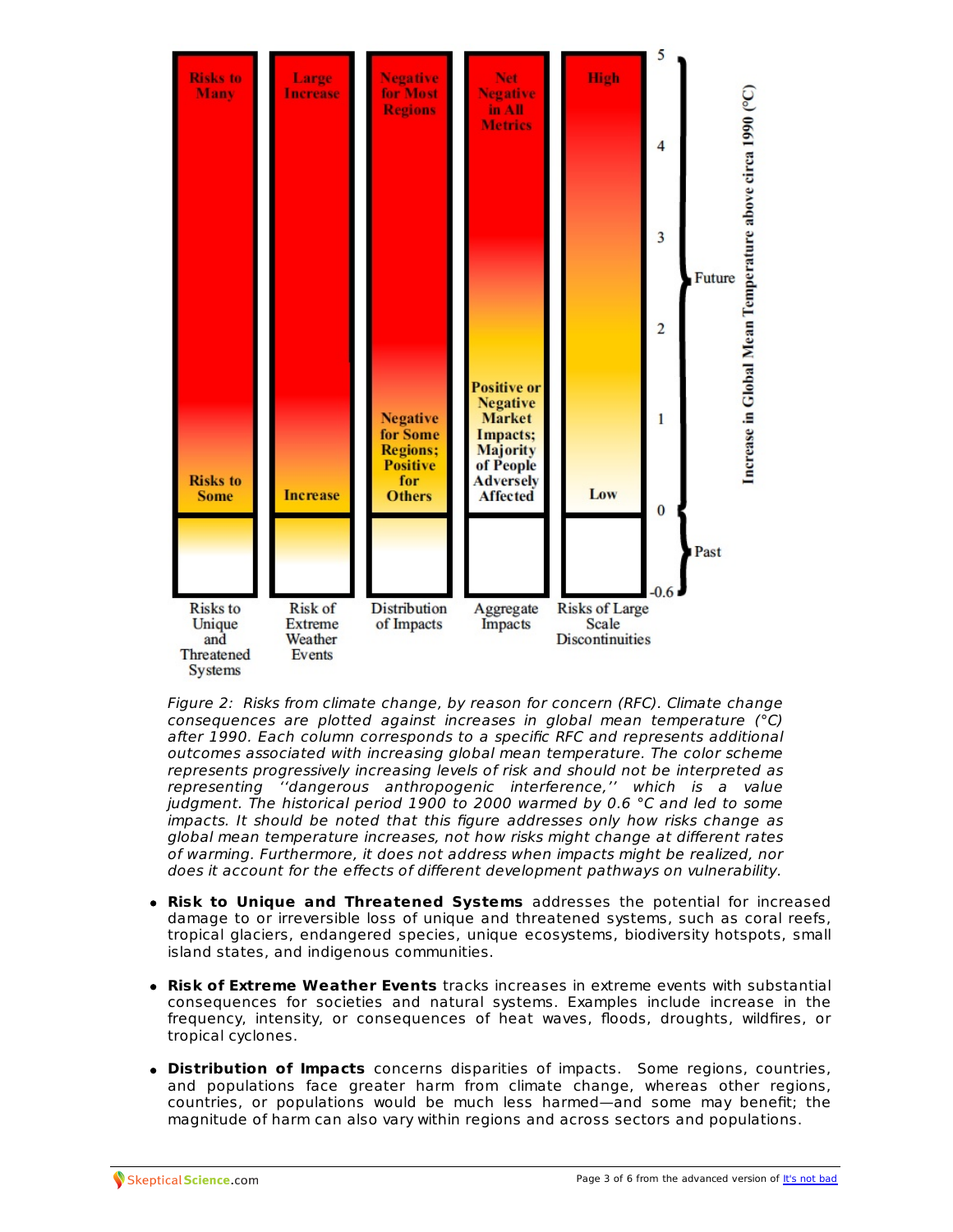

Figure 2: Risks from climate change, by reason for concern (RFC). Climate change consequences are plotted against increases in global mean temperature (°C) after 1990. Each column corresponds to a specific RFC and represents additional outcomes associated with increasing global mean temperature. The color scheme represents progressively increasing levels of risk and should not be interpreted as representing ''dangerous anthropogenic interference,'' which is a value judgment. The historical period 1900 to 2000 warmed by 0.6 °C and led to some impacts. It should be noted that this figure addresses only how risks change as global mean temperature increases, not how risks might change at different rates of warming. Furthermore, it does not address when impacts might be realized, nor does it account for the effects of different development pathways on vulnerability.

- **Risk to Unique and Threatened Systems** addresses the potential for increased damage to or irreversible loss of unique and threatened systems, such as coral reefs, tropical glaciers, endangered species, unique ecosystems, biodiversity hotspots, small island states, and indigenous communities.
- **Risk of Extreme Weather Events** tracks increases in extreme events with substantial consequences for societies and natural systems. Examples include increase in the frequency, intensity, or consequences of heat waves, floods, droughts, wildfires, or tropical cyclones.
- **Distribution of Impacts** concerns disparities of impacts. Some regions, countries, and populations face greater harm from climate change, whereas other regions, countries, or populations would be much less harmed—and some may benefit; the magnitude of harm can also vary within regions and across sectors and populations.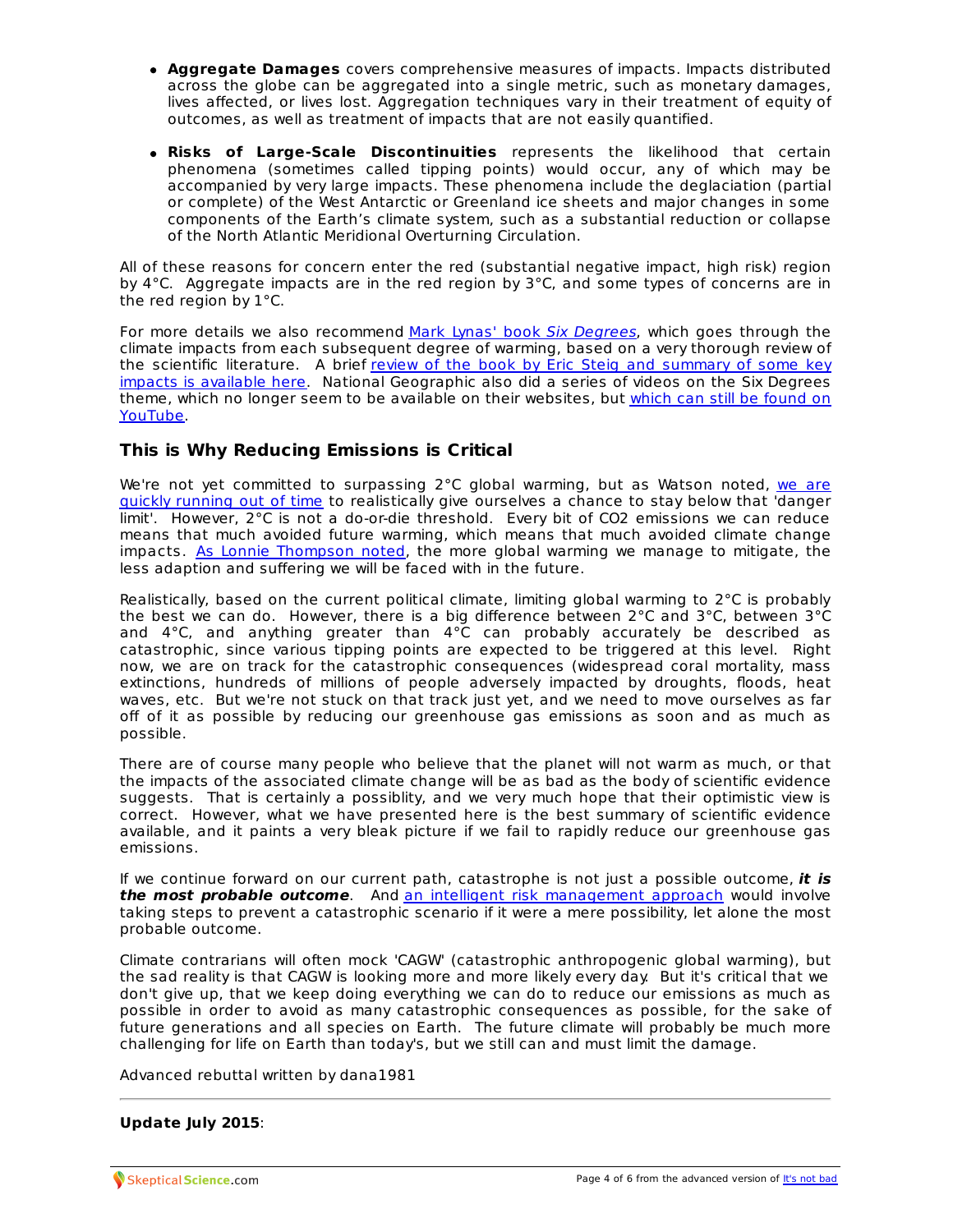- **Aggregate Damages** covers comprehensive measures of impacts. Impacts distributed across the globe can be aggregated into a single metric, such as monetary damages, lives affected, or lives lost. Aggregation techniques vary in their treatment of equity of outcomes, as well as treatment of impacts that are not easily quantified.
- **Risks of Large-Scale Discontinuities** represents the likelihood that certain phenomena (sometimes called tipping points) would occur, any of which may be accompanied by very large impacts. These phenomena include the deglaciation (partial or complete) of the West Antarctic or Greenland ice sheets and major changes in some components of the Earth's climate system, such as a substantial reduction or collapse of the North Atlantic Meridional Overturning Circulation.

All of these reasons for concern enter the red (substantial negative impact, high risk) region by 4 $\degree$ C. Aggregate impacts are in the red region by  $3\degree$ C, and some types of concerns are in the red region by 1°C.

For more details we also recommend Mark Lynas' book Six [Degrees](http://www.amazon.com/Six-Degrees-Future-Hotter-Planet/dp/142620213X), which goes through the climate impacts from each subsequent degree of warming, based on a very thorough review of the scientific literature. A brief review of the book by Eric Steig and summary of some key impacts is available here. National [Geographic](http://www.realclimate.org/index.php/archives/2007/11/six-degrees/) also did a series of videos on the Six Degrees theme, which no longer seem to be available on their [websites,](http://www.youtube.com/watch?v=lZIF8TjqhSU&feature=related) but which can still be found on YouTube.

## **This is Why Reducing Emissions is Critical**

We're not yet committed to [surpassing](http://www.skepticalscience.com/the-critical-decade-part-3-emissions-reductions.html) 2°C global warming, but as Watson noted, we are quickly running out of time to realistically give ourselves a chance to stay below that 'danger limit'. However, 2°C is not a do-or-die threshold. Every bit of CO2 emissions we can reduce means that much avoided future warming, which means that much avoided climate change impacts. As Lonnie [Thompson](http://www.yaleclimatemediaforum.org/2010/12/ohio-states-respected-lonnie-thompson/) noted, the more global warming we manage to mitigate, the less adaption and suffering we will be faced with in the future.

Realistically, based on the current political climate, limiting global warming to 2°C is probably the best we can do. However, there is a big difference between 2°C and 3°C, between 3°C and 4°C, and anything greater than 4°C can probably accurately be described as catastrophic, since various tipping points are expected to be triggered at this level. Right now, we are on track for the catastrophic consequences (widespread coral mortality, mass extinctions, hundreds of millions of people adversely impacted by droughts, floods, heat waves, etc. But we're not stuck on that track just yet, and we need to move ourselves as far off of it as possible by reducing our greenhouse gas emissions as soon and as much as possible.

There are of course many people who believe that the planet will not warm as much, or that the impacts of the associated climate change will be as bad as the body of scientific evidence suggests. That is certainly a possiblity, and we very much hope that their optimistic view is correct. However, what we have presented here is the best summary of scientific evidence available, and it paints a very bleak picture if we fail to rapidly reduce our greenhouse gas emissions.

If we continue forward on our current path, catastrophe is not just a possible outcome, **it is the most probable outcome**. And an intelligent risk [management](http://www.skepticalscience.com/prudent-risk.html) approach would involve taking steps to prevent a catastrophic scenario if it were a mere possibility, let alone the most probable outcome.

Climate contrarians will often mock 'CAGW' (catastrophic anthropogenic global warming), but the sad reality is that CAGW is looking more and more likely every day. But it's critical that we don't give up, that we keep doing everything we can do to reduce our emissions as much as possible in order to avoid as many catastrophic consequences as possible, for the sake of future generations and all species on Earth. The future climate will probably be much more challenging for life on Earth than today's, but we still can and must limit the damage.

Advanced rebuttal written by dana1981

#### **Update July 2015**: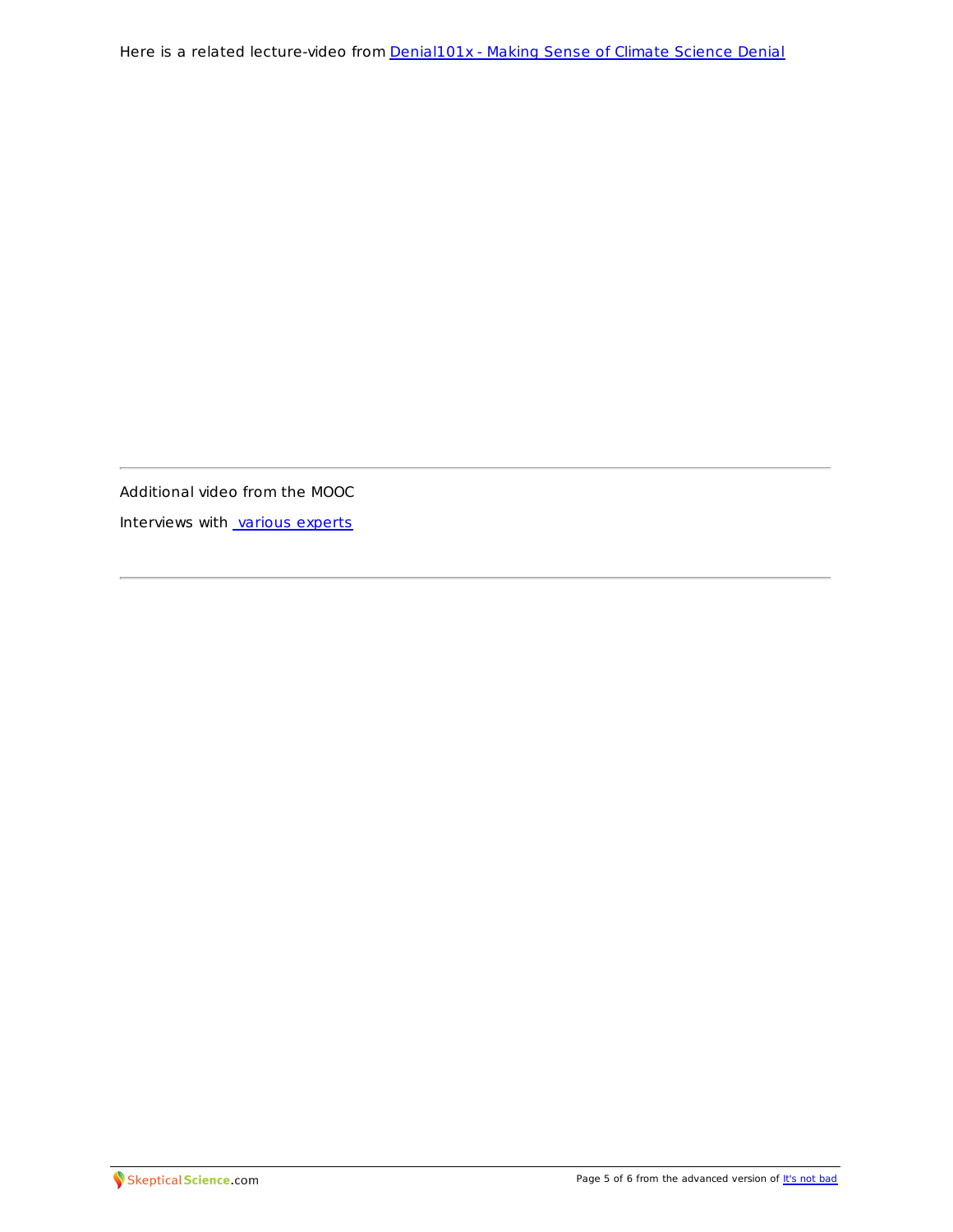Additional video from the MOOC

Interviews with various [experts](https://youtu.be/ER0Uf-cjN6c)